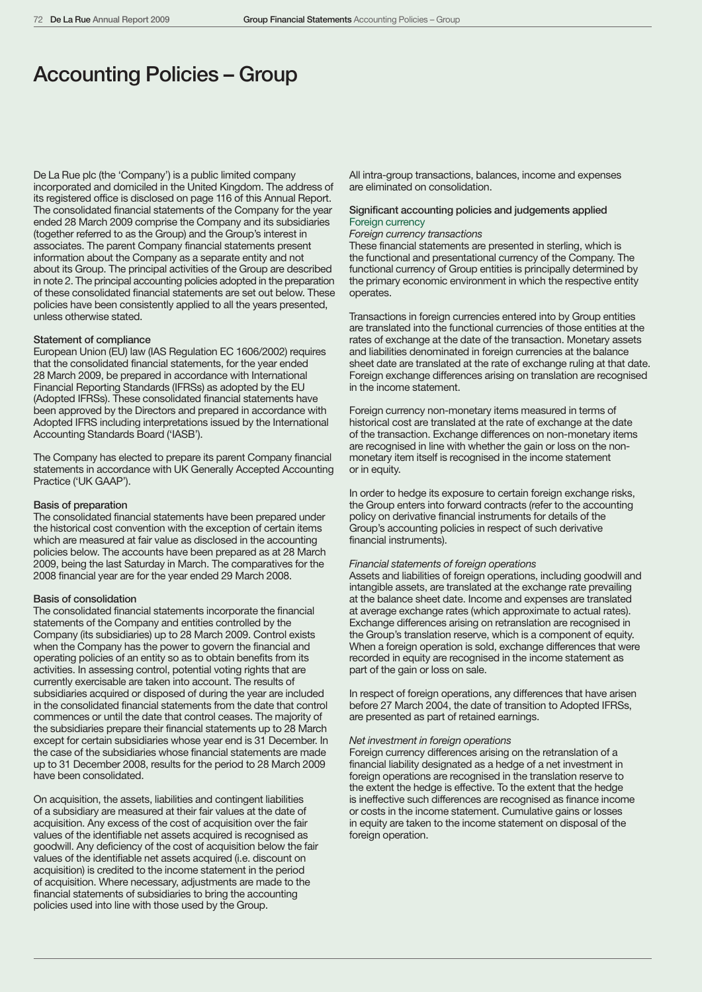# Accounting Policies – Group

De La Rue plc (the 'Company') is a public limited company incorporated and domiciled in the United Kingdom. The address of its registered office is disclosed on page 116 of this Annual Report. The consolidated financial statements of the Company for the year ended 28 March 2009 comprise the Company and its subsidiaries (together referred to as the Group) and the Group's interest in associates. The parent Company financial statements present information about the Company as a separate entity and not about its Group. The principal activities of the Group are described in note 2. The principal accounting policies adopted in the preparation of these consolidated financial statements are set out below. These policies have been consistently applied to all the years presented, unless otherwise stated.

# Statement of compliance

European Union (EU) law (IAS Regulation EC 1606/2002) requires that the consolidated financial statements, for the year ended 28 March 2009, be prepared in accordance with International Financial Reporting Standards (IFRSs) as adopted by the EU (Adopted IFRSs). These consolidated financial statements have been approved by the Directors and prepared in accordance with Adopted IFRS including interpretations issued by the International Accounting Standards Board ('IASB').

The Company has elected to prepare its parent Company financial statements in accordance with UK Generally Accepted Accounting Practice ('UK GAAP').

#### Basis of preparation

The consolidated financial statements have been prepared under the historical cost convention with the exception of certain items which are measured at fair value as disclosed in the accounting policies below. The accounts have been prepared as at 28 March 2009, being the last Saturday in March. The comparatives for the 2008 financial year are for the year ended 29 March 2008.

# Basis of consolidation

The consolidated financial statements incorporate the financial statements of the Company and entities controlled by the Company (its subsidiaries) up to 28 March 2009. Control exists when the Company has the power to govern the financial and operating policies of an entity so as to obtain benefits from its activities. In assessing control, potential voting rights that are currently exercisable are taken into account. The results of subsidiaries acquired or disposed of during the year are included in the consolidated financial statements from the date that control commences or until the date that control ceases. The majority of the subsidiaries prepare their financial statements up to 28 March except for certain subsidiaries whose year end is 31 December. In the case of the subsidiaries whose financial statements are made up to 31 December 2008, results for the period to 28 March 2009 have been consolidated.

On acquisition, the assets, liabilities and contingent liabilities of a subsidiary are measured at their fair values at the date of acquisition. Any excess of the cost of acquisition over the fair values of the identifiable net assets acquired is recognised as goodwill. Any deficiency of the cost of acquisition below the fair values of the identifiable net assets acquired (i.e. discount on acquisition) is credited to the income statement in the period of acquisition. Where necessary, adjustments are made to the financial statements of subsidiaries to bring the accounting policies used into line with those used by the Group.

All intra-group transactions, balances, income and expenses are eliminated on consolidation.

# Significant accounting policies and judgements applied Foreign currency

# *Foreign currency transactions*

These financial statements are presented in sterling, which is the functional and presentational currency of the Company. The functional currency of Group entities is principally determined by the primary economic environment in which the respective entity operates.

Transactions in foreign currencies entered into by Group entities are translated into the functional currencies of those entities at the rates of exchange at the date of the transaction. Monetary assets and liabilities denominated in foreign currencies at the balance sheet date are translated at the rate of exchange ruling at that date. Foreign exchange differences arising on translation are recognised in the income statement.

Foreign currency non-monetary items measured in terms of historical cost are translated at the rate of exchange at the date of the transaction. Exchange differences on non-monetary items are recognised in line with whether the gain or loss on the nonmonetary item itself is recognised in the income statement or in equity.

In order to hedge its exposure to certain foreign exchange risks, the Group enters into forward contracts (refer to the accounting policy on derivative financial instruments for details of the Group's accounting policies in respect of such derivative financial instruments).

## *Financial statements of foreign operations*

Assets and liabilities of foreign operations, including goodwill and intangible assets, are translated at the exchange rate prevailing at the balance sheet date. Income and expenses are translated at average exchange rates (which approximate to actual rates). Exchange differences arising on retranslation are recognised in the Group's translation reserve, which is a component of equity. When a foreign operation is sold, exchange differences that were recorded in equity are recognised in the income statement as part of the gain or loss on sale.

In respect of foreign operations, any differences that have arisen before 27 March 2004, the date of transition to Adopted IFRSs, are presented as part of retained earnings.

# *Net investment in foreign operations*

Foreign currency differences arising on the retranslation of a financial liability designated as a hedge of a net investment in foreign operations are recognised in the translation reserve to the extent the hedge is effective. To the extent that the hedge is ineffective such differences are recognised as finance income or costs in the income statement. Cumulative gains or losses in equity are taken to the income statement on disposal of the foreign operation.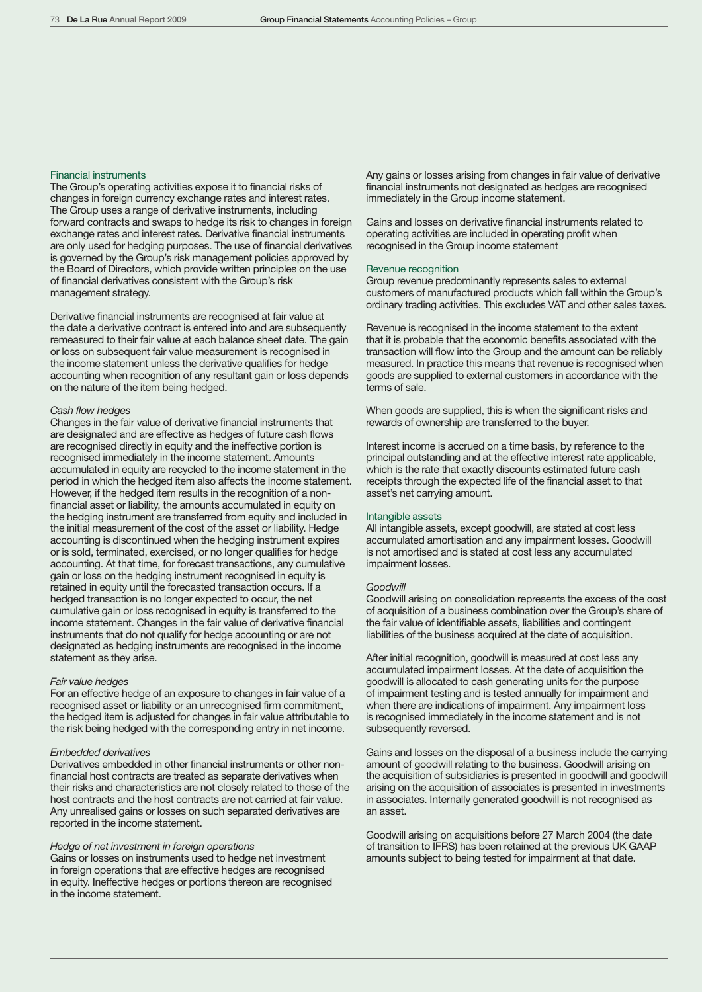# Financial instruments

The Group's operating activities expose it to financial risks of changes in foreign currency exchange rates and interest rates. The Group uses a range of derivative instruments, including forward contracts and swaps to hedge its risk to changes in foreign exchange rates and interest rates. Derivative financial instruments are only used for hedging purposes. The use of financial derivatives is governed by the Group's risk management policies approved by the Board of Directors, which provide written principles on the use of financial derivatives consistent with the Group's risk management strategy.

Derivative financial instruments are recognised at fair value at the date a derivative contract is entered into and are subsequently remeasured to their fair value at each balance sheet date. The gain or loss on subsequent fair value measurement is recognised in the income statement unless the derivative qualifies for hedge accounting when recognition of any resultant gain or loss depends on the nature of the item being hedged.

# *Cash flow hedges*

Changes in the fair value of derivative financial instruments that are designated and are effective as hedges of future cash flows are recognised directly in equity and the ineffective portion is recognised immediately in the income statement. Amounts accumulated in equity are recycled to the income statement in the period in which the hedged item also affects the income statement. However, if the hedged item results in the recognition of a nonfinancial asset or liability, the amounts accumulated in equity on the hedging instrument are transferred from equity and included in the initial measurement of the cost of the asset or liability. Hedge accounting is discontinued when the hedging instrument expires or is sold, terminated, exercised, or no longer qualifies for hedge accounting. At that time, for forecast transactions, any cumulative gain or loss on the hedging instrument recognised in equity is retained in equity until the forecasted transaction occurs. If a hedged transaction is no longer expected to occur, the net cumulative gain or loss recognised in equity is transferred to the income statement. Changes in the fair value of derivative financial instruments that do not qualify for hedge accounting or are not designated as hedging instruments are recognised in the income statement as they arise.

# *Fair value hedges*

For an effective hedge of an exposure to changes in fair value of a recognised asset or liability or an unrecognised firm commitment, the hedged item is adjusted for changes in fair value attributable to the risk being hedged with the corresponding entry in net income.

# *Embedded derivatives*

Derivatives embedded in other financial instruments or other nonfinancial host contracts are treated as separate derivatives when their risks and characteristics are not closely related to those of the host contracts and the host contracts are not carried at fair value. Any unrealised gains or losses on such separated derivatives are reported in the income statement.

## *Hedge of net investment in foreign operations*

Gains or losses on instruments used to hedge net investment in foreign operations that are effective hedges are recognised in equity. Ineffective hedges or portions thereon are recognised in the income statement.

Any gains or losses arising from changes in fair value of derivative financial instruments not designated as hedges are recognised immediately in the Group income statement.

Gains and losses on derivative financial instruments related to operating activities are included in operating profit when recognised in the Group income statement

## Revenue recognition

Group revenue predominantly represents sales to external customers of manufactured products which fall within the Group's ordinary trading activities. This excludes VAT and other sales taxes.

Revenue is recognised in the income statement to the extent that it is probable that the economic benefits associated with the transaction will flow into the Group and the amount can be reliably measured. In practice this means that revenue is recognised when goods are supplied to external customers in accordance with the terms of sale.

When goods are supplied, this is when the significant risks and rewards of ownership are transferred to the buyer.

Interest income is accrued on a time basis, by reference to the principal outstanding and at the effective interest rate applicable, which is the rate that exactly discounts estimated future cash receipts through the expected life of the financial asset to that asset's net carrying amount.

# Intangible assets

All intangible assets, except goodwill, are stated at cost less accumulated amortisation and any impairment losses. Goodwill is not amortised and is stated at cost less any accumulated impairment losses.

### *Goodwill*

Goodwill arising on consolidation represents the excess of the cost of acquisition of a business combination over the Group's share of the fair value of identifiable assets, liabilities and contingent liabilities of the business acquired at the date of acquisition.

After initial recognition, goodwill is measured at cost less any accumulated impairment losses. At the date of acquisition the goodwill is allocated to cash generating units for the purpose of impairment testing and is tested annually for impairment and when there are indications of impairment. Any impairment loss is recognised immediately in the income statement and is not subsequently reversed.

Gains and losses on the disposal of a business include the carrying amount of goodwill relating to the business. Goodwill arising on the acquisition of subsidiaries is presented in goodwill and goodwill arising on the acquisition of associates is presented in investments in associates. Internally generated goodwill is not recognised as an asset.

Goodwill arising on acquisitions before 27 March 2004 (the date of transition to IFRS) has been retained at the previous UK GAAP amounts subject to being tested for impairment at that date.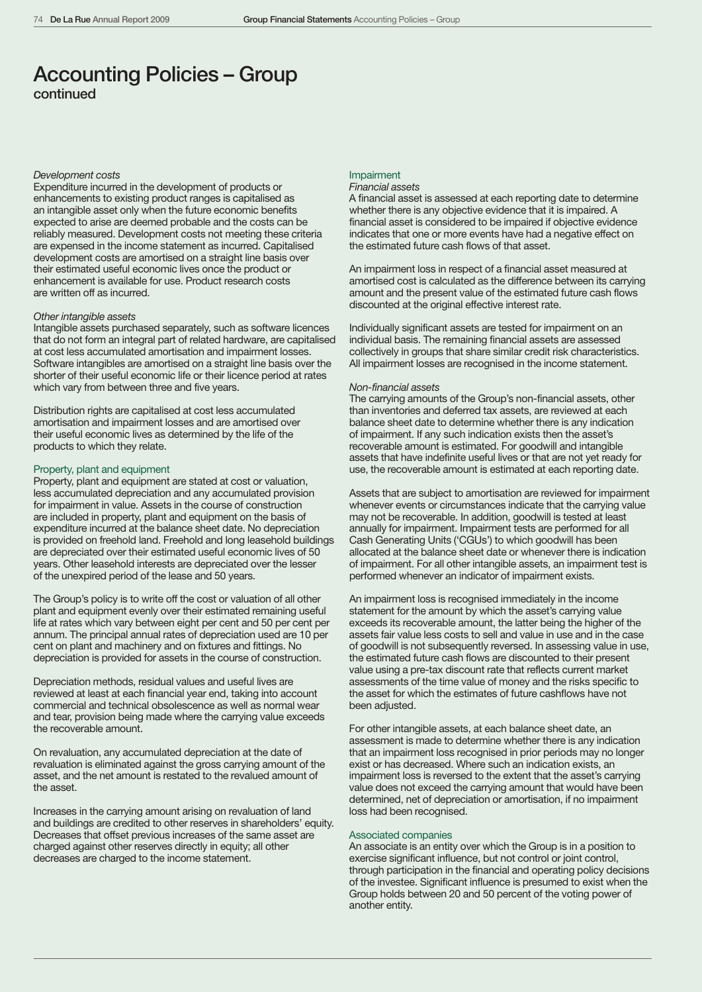# Accounting Policies – Group continued

# *Development costs*

Expenditure incurred in the development of products or enhancements to existing product ranges is capitalised as an intangible asset only when the future economic benefits expected to arise are deemed probable and the costs can be reliably measured. Development costs not meeting these criteria are expensed in the income statement as incurred. Capitalised development costs are amortised on a straight line basis over their estimated useful economic lives once the product or enhancement is available for use. Product research costs are written off as incurred.

# *Other intangible assets*

Intangible assets purchased separately, such as software licences that do not form an integral part of related hardware, are capitalised at cost less accumulated amortisation and impairment losses. Software intangibles are amortised on a straight line basis over the shorter of their useful economic life or their licence period at rates which vary from between three and five years.

Distribution rights are capitalised at cost less accumulated amortisation and impairment losses and are amortised over their useful economic lives as determined by the life of the products to which they relate.

# Property, plant and equipment

Property, plant and equipment are stated at cost or valuation, less accumulated depreciation and any accumulated provision for impairment in value. Assets in the course of construction are included in property, plant and equipment on the basis of expenditure incurred at the balance sheet date. No depreciation is provided on freehold land. Freehold and long leasehold buildings are depreciated over their estimated useful economic lives of 50 years. Other leasehold interests are depreciated over the lesser of the unexpired period of the lease and 50 years.

The Group's policy is to write off the cost or valuation of all other plant and equipment evenly over their estimated remaining useful life at rates which vary between eight per cent and 50 per cent per annum. The principal annual rates of depreciation used are 10 per cent on plant and machinery and on fixtures and fittings. No depreciation is provided for assets in the course of construction.

Depreciation methods, residual values and useful lives are reviewed at least at each financial year end, taking into account commercial and technical obsolescence as well as normal wear and tear, provision being made where the carrying value exceeds the recoverable amount.

On revaluation, any accumulated depreciation at the date of revaluation is eliminated against the gross carrying amount of the asset, and the net amount is restated to the revalued amount of the asset.

Increases in the carrying amount arising on revaluation of land and buildings are credited to other reserves in shareholders' equity. Decreases that offset previous increases of the same asset are charged against other reserves directly in equity; all other decreases are charged to the income statement.

# Impairment

# *Financial assets*

A financial asset is assessed at each reporting date to determine whether there is any objective evidence that it is impaired. A financial asset is considered to be impaired if objective evidence indicates that one or more events have had a negative effect on the estimated future cash flows of that asset.

An impairment loss in respect of a financial asset measured at amortised cost is calculated as the difference between its carrying amount and the present value of the estimated future cash flows discounted at the original effective interest rate.

Individually significant assets are tested for impairment on an individual basis. The remaining financial assets are assessed collectively in groups that share similar credit risk characteristics. All impairment losses are recognised in the income statement.

#### *Non-financial assets*

The carrying amounts of the Group's non-financial assets, other than inventories and deferred tax assets, are reviewed at each balance sheet date to determine whether there is any indication of impairment. If any such indication exists then the asset's recoverable amount is estimated. For goodwill and intangible assets that have indefinite useful lives or that are not yet ready for use, the recoverable amount is estimated at each reporting date.

Assets that are subject to amortisation are reviewed for impairment whenever events or circumstances indicate that the carrying value may not be recoverable. In addition, goodwill is tested at least annually for impairment. Impairment tests are performed for all Cash Generating Units ('CGUs') to which goodwill has been allocated at the balance sheet date or whenever there is indication of impairment. For all other intangible assets, an impairment test is performed whenever an indicator of impairment exists.

An impairment loss is recognised immediately in the income statement for the amount by which the asset's carrying value exceeds its recoverable amount, the latter being the higher of the assets fair value less costs to sell and value in use and in the case of goodwill is not subsequently reversed. In assessing value in use, the estimated future cash flows are discounted to their present value using a pre-tax discount rate that reflects current market assessments of the time value of money and the risks specific to the asset for which the estimates of future cashflows have not been adjusted.

For other intangible assets, at each balance sheet date, an assessment is made to determine whether there is any indication that an impairment loss recognised in prior periods may no longer exist or has decreased. Where such an indication exists, an impairment loss is reversed to the extent that the asset's carrying value does not exceed the carrying amount that would have been determined, net of depreciation or amortisation, if no impairment loss had been recognised.

# Associated companies

An associate is an entity over which the Group is in a position to exercise significant influence, but not control or joint control, through participation in the financial and operating policy decisions of the investee. Significant influence is presumed to exist when the Group holds between 20 and 50 percent of the voting power of another entity.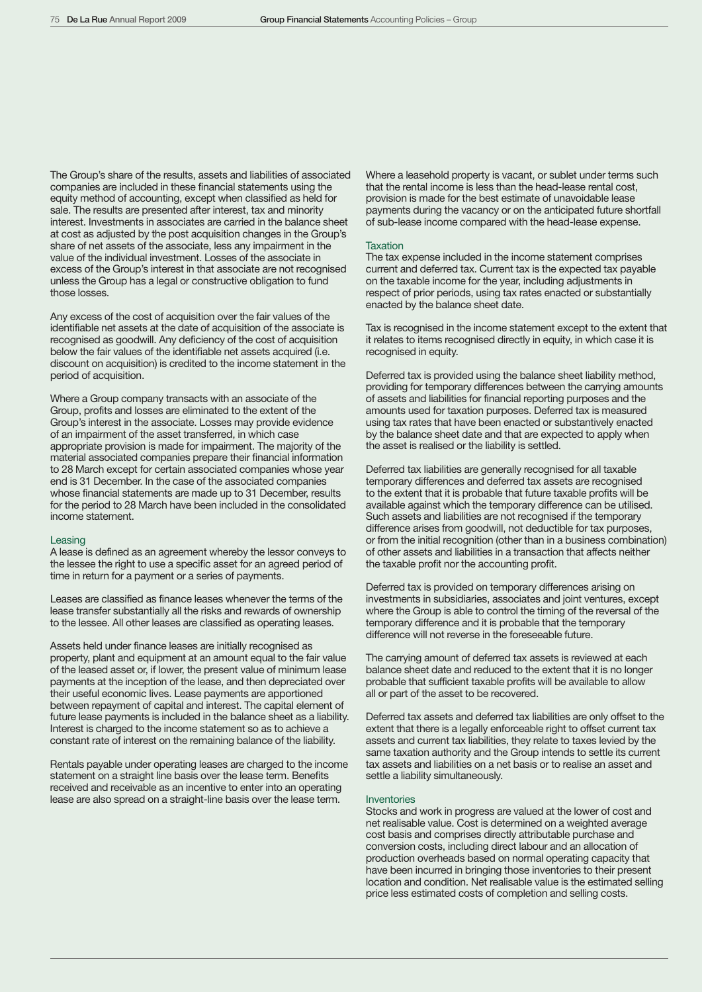The Group's share of the results, assets and liabilities of associated companies are included in these financial statements using the equity method of accounting, except when classified as held for sale. The results are presented after interest, tax and minority interest. Investments in associates are carried in the balance sheet at cost as adjusted by the post acquisition changes in the Group's share of net assets of the associate, less any impairment in the value of the individual investment. Losses of the associate in excess of the Group's interest in that associate are not recognised unless the Group has a legal or constructive obligation to fund those losses.

Any excess of the cost of acquisition over the fair values of the identifiable net assets at the date of acquisition of the associate is recognised as goodwill. Any deficiency of the cost of acquisition below the fair values of the identifiable net assets acquired (i.e. discount on acquisition) is credited to the income statement in the period of acquisition.

Where a Group company transacts with an associate of the Group, profits and losses are eliminated to the extent of the Group's interest in the associate. Losses may provide evidence of an impairment of the asset transferred, in which case appropriate provision is made for impairment. The majority of the material associated companies prepare their financial information to 28 March except for certain associated companies whose year end is 31 December. In the case of the associated companies whose financial statements are made up to 31 December, results for the period to 28 March have been included in the consolidated income statement.

#### Leasing

A lease is defined as an agreement whereby the lessor conveys to the lessee the right to use a specific asset for an agreed period of time in return for a payment or a series of payments.

Leases are classified as finance leases whenever the terms of the lease transfer substantially all the risks and rewards of ownership to the lessee. All other leases are classified as operating leases.

Assets held under finance leases are initially recognised as property, plant and equipment at an amount equal to the fair value of the leased asset or, if lower, the present value of minimum lease payments at the inception of the lease, and then depreciated over their useful economic lives. Lease payments are apportioned between repayment of capital and interest. The capital element of future lease payments is included in the balance sheet as a liability. Interest is charged to the income statement so as to achieve a constant rate of interest on the remaining balance of the liability.

Rentals payable under operating leases are charged to the income statement on a straight line basis over the lease term. Benefits received and receivable as an incentive to enter into an operating lease are also spread on a straight-line basis over the lease term.

Where a leasehold property is vacant, or sublet under terms such that the rental income is less than the head-lease rental cost, provision is made for the best estimate of unavoidable lease payments during the vacancy or on the anticipated future shortfall of sub-lease income compared with the head-lease expense.

#### **Taxation**

The tax expense included in the income statement comprises current and deferred tax. Current tax is the expected tax payable on the taxable income for the year, including adjustments in respect of prior periods, using tax rates enacted or substantially enacted by the balance sheet date.

Tax is recognised in the income statement except to the extent that it relates to items recognised directly in equity, in which case it is recognised in equity.

Deferred tax is provided using the balance sheet liability method, providing for temporary differences between the carrying amounts of assets and liabilities for financial reporting purposes and the amounts used for taxation purposes. Deferred tax is measured using tax rates that have been enacted or substantively enacted by the balance sheet date and that are expected to apply when the asset is realised or the liability is settled.

Deferred tax liabilities are generally recognised for all taxable temporary differences and deferred tax assets are recognised to the extent that it is probable that future taxable profits will be available against which the temporary difference can be utilised. Such assets and liabilities are not recognised if the temporary difference arises from goodwill, not deductible for tax purposes, or from the initial recognition (other than in a business combination) of other assets and liabilities in a transaction that affects neither the taxable profit nor the accounting profit.

Deferred tax is provided on temporary differences arising on investments in subsidiaries, associates and joint ventures, except where the Group is able to control the timing of the reversal of the temporary difference and it is probable that the temporary difference will not reverse in the foreseeable future.

The carrying amount of deferred tax assets is reviewed at each balance sheet date and reduced to the extent that it is no longer probable that sufficient taxable profits will be available to allow all or part of the asset to be recovered.

Deferred tax assets and deferred tax liabilities are only offset to the extent that there is a legally enforceable right to offset current tax assets and current tax liabilities, they relate to taxes levied by the same taxation authority and the Group intends to settle its current tax assets and liabilities on a net basis or to realise an asset and settle a liability simultaneously.

#### **Inventories**

Stocks and work in progress are valued at the lower of cost and net realisable value. Cost is determined on a weighted average cost basis and comprises directly attributable purchase and conversion costs, including direct labour and an allocation of production overheads based on normal operating capacity that have been incurred in bringing those inventories to their present location and condition. Net realisable value is the estimated selling price less estimated costs of completion and selling costs.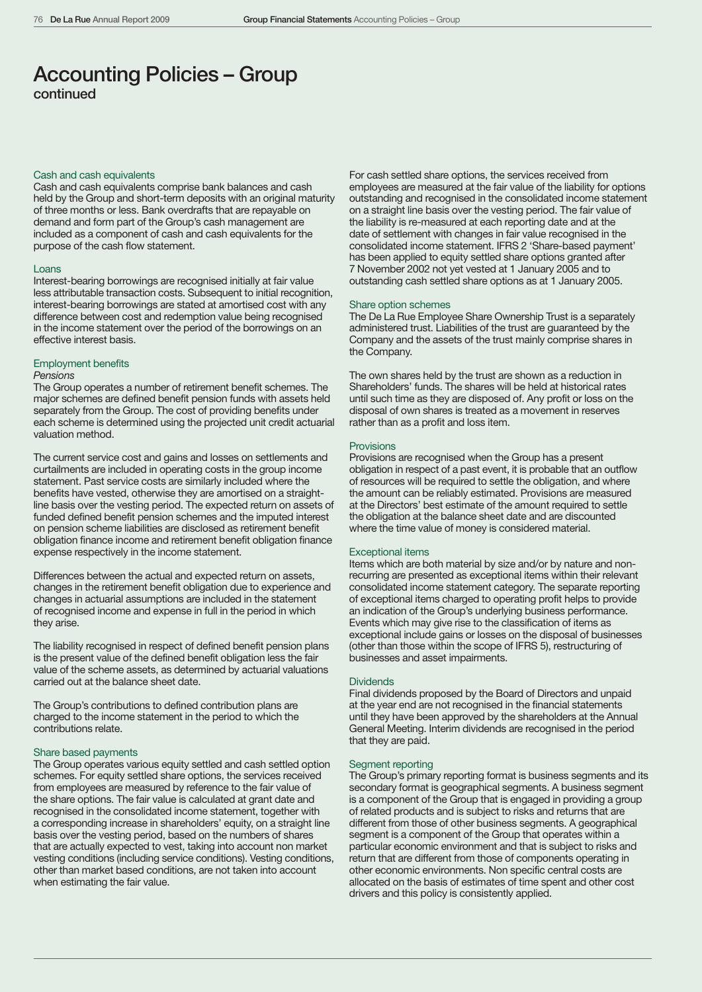# Accounting Policies – Group continued

# Cash and cash equivalents

Cash and cash equivalents comprise bank balances and cash held by the Group and short-term deposits with an original maturity of three months or less. Bank overdrafts that are repayable on demand and form part of the Group's cash management are included as a component of cash and cash equivalents for the purpose of the cash flow statement.

#### Loans

Interest-bearing borrowings are recognised initially at fair value less attributable transaction costs. Subsequent to initial recognition, interest-bearing borrowings are stated at amortised cost with any difference between cost and redemption value being recognised in the income statement over the period of the borrowings on an effective interest basis.

# Employment benefits

### *Pensions*

The Group operates a number of retirement benefit schemes. The major schemes are defined benefit pension funds with assets held separately from the Group. The cost of providing benefits under each scheme is determined using the projected unit credit actuarial valuation method.

The current service cost and gains and losses on settlements and curtailments are included in operating costs in the group income statement. Past service costs are similarly included where the benefits have vested, otherwise they are amortised on a straightline basis over the vesting period. The expected return on assets of funded defined benefit pension schemes and the imputed interest on pension scheme liabilities are disclosed as retirement benefit obligation finance income and retirement benefit obligation finance expense respectively in the income statement.

Differences between the actual and expected return on assets, changes in the retirement benefit obligation due to experience and changes in actuarial assumptions are included in the statement of recognised income and expense in full in the period in which they arise.

The liability recognised in respect of defined benefit pension plans is the present value of the defined benefit obligation less the fair value of the scheme assets, as determined by actuarial valuations carried out at the balance sheet date.

The Group's contributions to defined contribution plans are charged to the income statement in the period to which the contributions relate.

# Share based payments

The Group operates various equity settled and cash settled option schemes. For equity settled share options, the services received from employees are measured by reference to the fair value of the share options. The fair value is calculated at grant date and recognised in the consolidated income statement, together with a corresponding increase in shareholders' equity, on a straight line basis over the vesting period, based on the numbers of shares that are actually expected to vest, taking into account non market vesting conditions (including service conditions). Vesting conditions, other than market based conditions, are not taken into account when estimating the fair value.

For cash settled share options, the services received from employees are measured at the fair value of the liability for options outstanding and recognised in the consolidated income statement on a straight line basis over the vesting period. The fair value of the liability is re-measured at each reporting date and at the date of settlement with changes in fair value recognised in the consolidated income statement. IFRS 2 'Share-based payment' has been applied to equity settled share options granted after 7 November 2002 not yet vested at 1 January 2005 and to outstanding cash settled share options as at 1 January 2005.

# Share option schemes

The De La Rue Employee Share Ownership Trust is a separately administered trust. Liabilities of the trust are guaranteed by the Company and the assets of the trust mainly comprise shares in the Company.

The own shares held by the trust are shown as a reduction in Shareholders' funds. The shares will be held at historical rates until such time as they are disposed of. Any profit or loss on the disposal of own shares is treated as a movement in reserves rather than as a profit and loss item.

## **Provisions**

Provisions are recognised when the Group has a present obligation in respect of a past event, it is probable that an outflow of resources will be required to settle the obligation, and where the amount can be reliably estimated. Provisions are measured at the Directors' best estimate of the amount required to settle the obligation at the balance sheet date and are discounted where the time value of money is considered material.

#### Exceptional items

Items which are both material by size and/or by nature and nonrecurring are presented as exceptional items within their relevant consolidated income statement category. The separate reporting of exceptional items charged to operating profit helps to provide an indication of the Group's underlying business performance. Events which may give rise to the classification of items as exceptional include gains or losses on the disposal of businesses (other than those within the scope of IFRS 5), restructuring of businesses and asset impairments.

# **Dividends**

Final dividends proposed by the Board of Directors and unpaid at the year end are not recognised in the financial statements until they have been approved by the shareholders at the Annual General Meeting. Interim dividends are recognised in the period that they are paid.

## Segment reporting

The Group's primary reporting format is business segments and its secondary format is geographical segments. A business segment is a component of the Group that is engaged in providing a group of related products and is subject to risks and returns that are different from those of other business segments. A geographical segment is a component of the Group that operates within a particular economic environment and that is subject to risks and return that are different from those of components operating in other economic environments. Non specific central costs are allocated on the basis of estimates of time spent and other cost drivers and this policy is consistently applied.